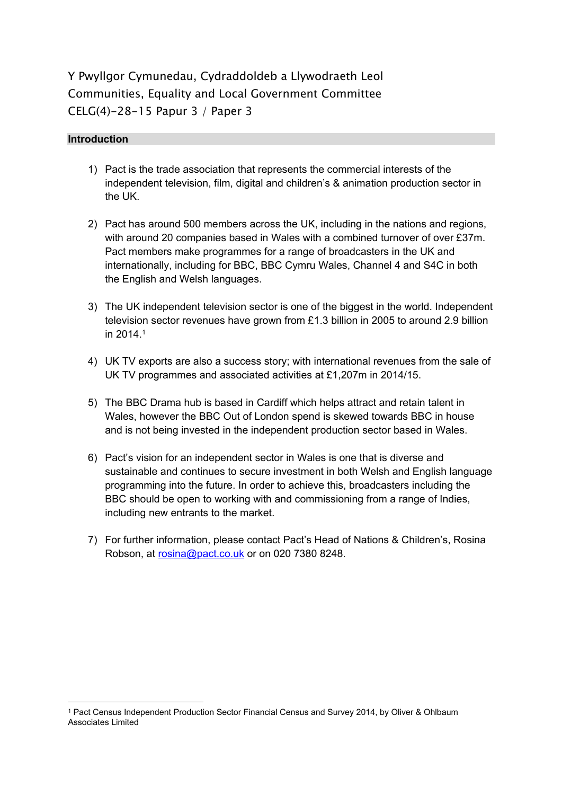# Y Pwyllgor Cymunedau, Cydraddoldeb a Llywodraeth Leol Communities, Equality and Local Government Committee CELG(4)-28-15 Papur 3 / Paper 3

#### **Introduction**

- 1) Pact is the trade association that represents the commercial interests of the independent television, film, digital and children's & animation production sector in the UK.
- 2) Pact has around 500 members across the UK, including in the nations and regions, with around 20 companies based in Wales with a combined turnover of over £37m. Pact members make programmes for a range of broadcasters in the UK and internationally, including for BBC, BBC Cymru Wales, Channel 4 and S4C in both the English and Welsh languages.
- 3) The UK independent television sector is one of the biggest in the world. Independent television sector revenues have grown from £1.3 billion in 2005 to around 2.9 billion in 2014.<sup>1</sup>
- 4) UK TV exports are also a success story; with international revenues from the sale of UK TV programmes and associated activities at £1,207m in 2014/15.
- 5) The BBC Drama hub is based in Cardiff which helps attract and retain talent in Wales, however the BBC Out of London spend is skewed towards BBC in house and is not being invested in the independent production sector based in Wales.
- 6) Pact's vision for an independent sector in Wales is one that is diverse and sustainable and continues to secure investment in both Welsh and English language programming into the future. In order to achieve this, broadcasters including the BBC should be open to working with and commissioning from a range of Indies, including new entrants to the market.
- 7) For further information, please contact Pact's Head of Nations & Children's, Rosina Robson, at [rosina@pact.co.uk](mailto:rosina@pact.co.uk) or on 020 7380 8248.

<sup>1</sup> Pact Census Independent Production Sector Financial Census and Survey 2014, by Oliver & Ohlbaum Associates Limited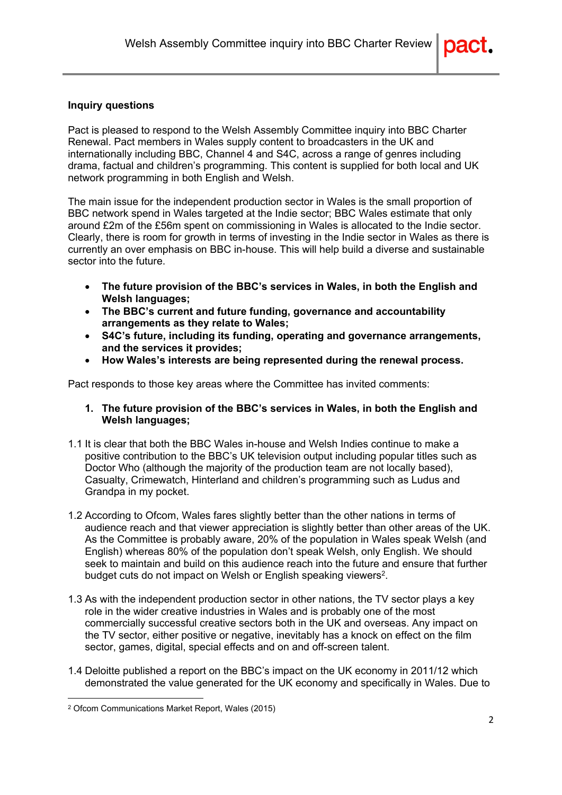#### **Inquiry questions**

Pact is pleased to respond to the Welsh Assembly Committee inquiry into BBC Charter Renewal. Pact members in Wales supply content to broadcasters in the UK and internationally including BBC, Channel 4 and S4C, across a range of genres including drama, factual and children's programming. This content is supplied for both local and UK network programming in both English and Welsh.

The main issue for the independent production sector in Wales is the small proportion of BBC network spend in Wales targeted at the Indie sector; BBC Wales estimate that only around £2m of the £56m spent on commissioning in Wales is allocated to the Indie sector. Clearly, there is room for growth in terms of investing in the Indie sector in Wales as there is currently an over emphasis on BBC in-house. This will help build a diverse and sustainable sector into the future.

- **The future provision of the BBC's services in Wales, in both the English and Welsh languages;**
- **The BBC's current and future funding, governance and accountability arrangements as they relate to Wales;**
- **S4C's future, including its funding, operating and governance arrangements, and the services it provides;**
- **How Wales's interests are being represented during the renewal process.**

Pact responds to those key areas where the Committee has invited comments:

- **1. The future provision of the BBC's services in Wales, in both the English and Welsh languages;**
- 1.1 It is clear that both the BBC Wales in-house and Welsh Indies continue to make a positive contribution to the BBC's UK television output including popular titles such as Doctor Who (although the majority of the production team are not locally based), Casualty, Crimewatch, Hinterland and children's programming such as Ludus and Grandpa in my pocket.
- 1.2 According to Ofcom, Wales fares slightly better than the other nations in terms of audience reach and that viewer appreciation is slightly better than other areas of the UK. As the Committee is probably aware, 20% of the population in Wales speak Welsh (and English) whereas 80% of the population don't speak Welsh, only English. We should seek to maintain and build on this audience reach into the future and ensure that further budget cuts do not impact on Welsh or English speaking viewers<sup>2</sup>.
- 1.3 As with the independent production sector in other nations, the TV sector plays a key role in the wider creative industries in Wales and is probably one of the most commercially successful creative sectors both in the UK and overseas. Any impact on the TV sector, either positive or negative, inevitably has a knock on effect on the film sector, games, digital, special effects and on and off-screen talent.
- 1.4 Deloitte published a report on the BBC's impact on the UK economy in 2011/12 which demonstrated the value generated for the UK economy and specifically in Wales. Due to

<sup>2</sup> Ofcom Communications Market Report, Wales (2015)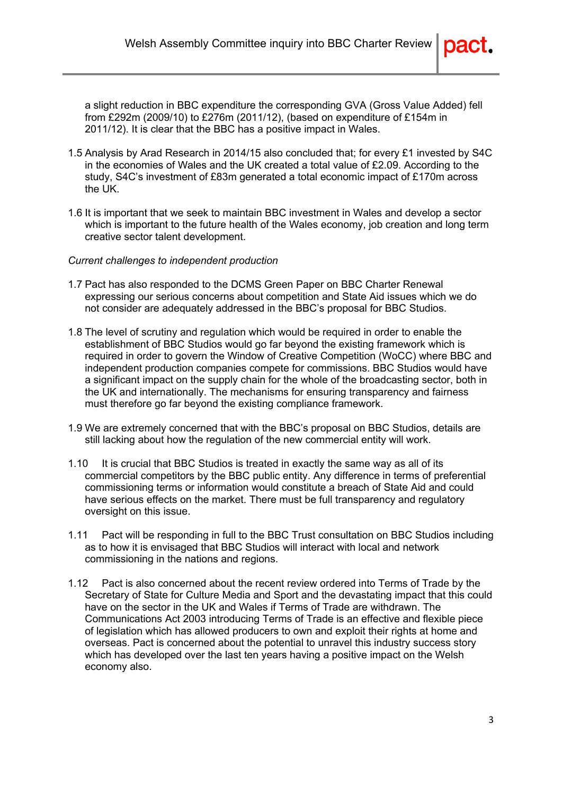a slight reduction in BBC expenditure the corresponding GVA (Gross Value Added) fell from £292m (2009/10) to £276m (2011/12), (based on expenditure of £154m in 2011/12). It is clear that the BBC has a positive impact in Wales.

- 1.5 Analysis by Arad Research in 2014/15 also concluded that; for every £1 invested by S4C in the economies of Wales and the UK created a total value of £2.09. According to the study, S4C's investment of £83m generated a total economic impact of £170m across the UK.
- 1.6 It is important that we seek to maintain BBC investment in Wales and develop a sector which is important to the future health of the Wales economy, job creation and long term creative sector talent development.

#### *Current challenges to independent production*

- 1.7 Pact has also responded to the DCMS Green Paper on BBC Charter Renewal expressing our serious concerns about competition and State Aid issues which we do not consider are adequately addressed in the BBC's proposal for BBC Studios.
- 1.8 The level of scrutiny and regulation which would be required in order to enable the establishment of BBC Studios would go far beyond the existing framework which is required in order to govern the Window of Creative Competition (WoCC) where BBC and independent production companies compete for commissions. BBC Studios would have a significant impact on the supply chain for the whole of the broadcasting sector, both in the UK and internationally. The mechanisms for ensuring transparency and fairness must therefore go far beyond the existing compliance framework.
- 1.9 We are extremely concerned that with the BBC's proposal on BBC Studios, details are still lacking about how the regulation of the new commercial entity will work.
- 1.10 It is crucial that BBC Studios is treated in exactly the same way as all of its commercial competitors by the BBC public entity. Any difference in terms of preferential commissioning terms or information would constitute a breach of State Aid and could have serious effects on the market. There must be full transparency and regulatory oversight on this issue.
- 1.11 Pact will be responding in full to the BBC Trust consultation on BBC Studios including as to how it is envisaged that BBC Studios will interact with local and network commissioning in the nations and regions.
- 1.12 Pact is also concerned about the recent review ordered into Terms of Trade by the Secretary of State for Culture Media and Sport and the devastating impact that this could have on the sector in the UK and Wales if Terms of Trade are withdrawn. The Communications Act 2003 introducing Terms of Trade is an effective and flexible piece of legislation which has allowed producers to own and exploit their rights at home and overseas. Pact is concerned about the potential to unravel this industry success story which has developed over the last ten years having a positive impact on the Welsh economy also.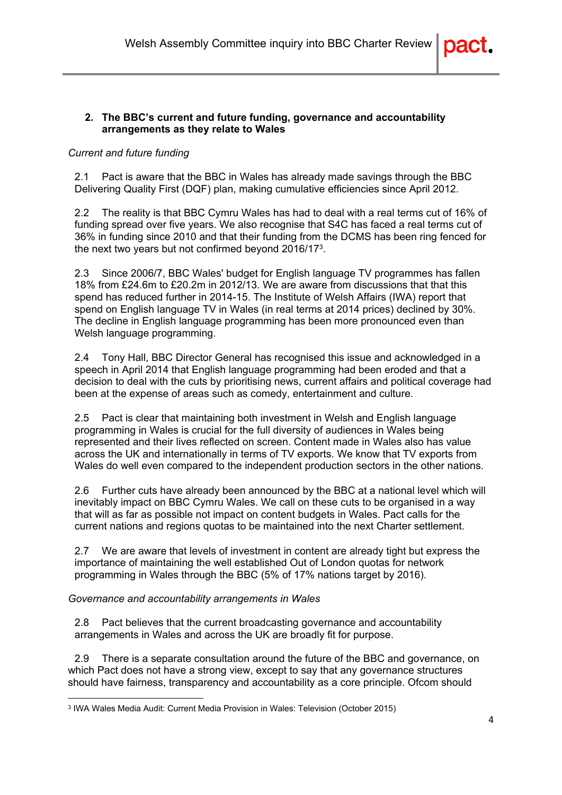

## **2. The BBC's current and future funding, governance and accountability arrangements as they relate to Wales**

## *Current and future funding*

2.1 Pact is aware that the BBC in Wales has already made savings through the BBC Delivering Quality First (DQF) plan, making cumulative efficiencies since April 2012.

2.2 The reality is that BBC Cymru Wales has had to deal with a real terms cut of 16% of funding spread over five years. We also recognise that S4C has faced a real terms cut of 36% in funding since 2010 and that their funding from the DCMS has been ring fenced for the next two years but not confirmed beyond 2016/17<sup>3</sup>.

2.3 Since 2006/7, BBC Wales' budget for English language TV programmes has fallen 18% from £24.6m to £20.2m in 2012/13. We are aware from discussions that that this spend has reduced further in 2014-15. The Institute of Welsh Affairs (IWA) report that spend on English language TV in Wales (in real terms at 2014 prices) declined by 30%. The decline in English language programming has been more pronounced even than Welsh language programming.

2.4 Tony Hall, BBC Director General has recognised this issue and acknowledged in a speech in April 2014 that English language programming had been eroded and that a decision to deal with the cuts by prioritising news, current affairs and political coverage had been at the expense of areas such as comedy, entertainment and culture.

2.5 Pact is clear that maintaining both investment in Welsh and English language programming in Wales is crucial for the full diversity of audiences in Wales being represented and their lives reflected on screen. Content made in Wales also has value across the UK and internationally in terms of TV exports. We know that TV exports from Wales do well even compared to the independent production sectors in the other nations.

2.6 Further cuts have already been announced by the BBC at a national level which will inevitably impact on BBC Cymru Wales. We call on these cuts to be organised in a way that will as far as possible not impact on content budgets in Wales. Pact calls for the current nations and regions quotas to be maintained into the next Charter settlement.

2.7 We are aware that levels of investment in content are already tight but express the importance of maintaining the well established Out of London quotas for network programming in Wales through the BBC (5% of 17% nations target by 2016).

*Governance and accountability arrangements in Wales*

2.8 Pact believes that the current broadcasting governance and accountability arrangements in Wales and across the UK are broadly fit for purpose.

2.9 There is a separate consultation around the future of the BBC and governance, on which Pact does not have a strong view, except to say that any governance structures should have fairness, transparency and accountability as a core principle. Ofcom should

<sup>3</sup> IWA Wales Media Audit: Current Media Provision in Wales: Television (October 2015)